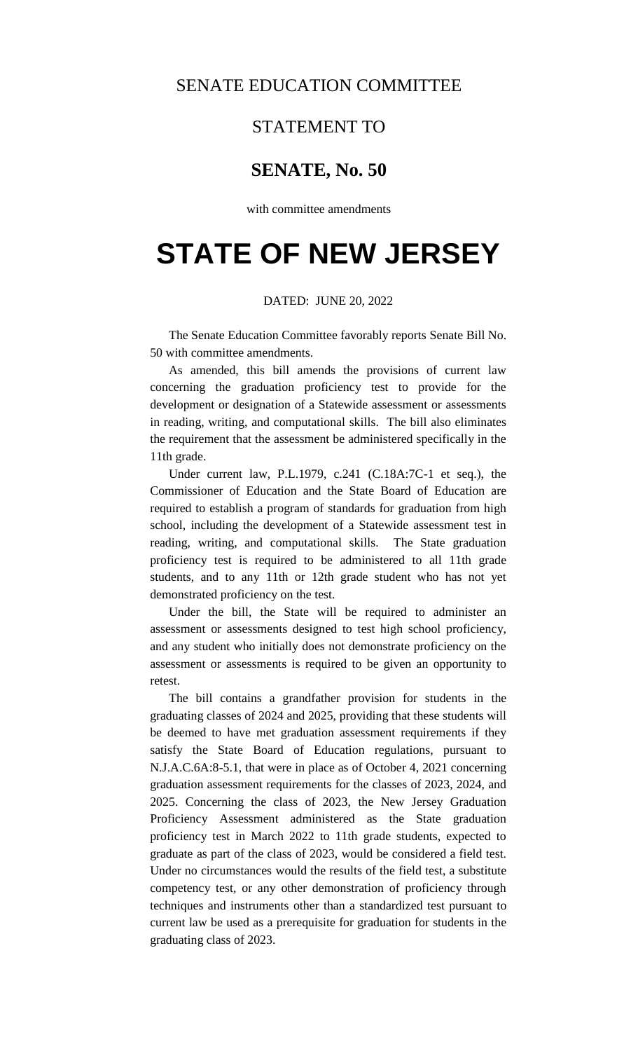## SENATE EDUCATION COMMITTEE

### STATEMENT TO

## **SENATE, No. 50**

with committee amendments

# **STATE OF NEW JERSEY**

### DATED: JUNE 20, 2022

The Senate Education Committee favorably reports Senate Bill No. 50 with committee amendments.

As amended, this bill amends the provisions of current law concerning the graduation proficiency test to provide for the development or designation of a Statewide assessment or assessments in reading, writing, and computational skills. The bill also eliminates the requirement that the assessment be administered specifically in the 11th grade.

Under current law, P.L.1979, c.241 (C.18A:7C-1 et seq.), the Commissioner of Education and the State Board of Education are required to establish a program of standards for graduation from high school, including the development of a Statewide assessment test in reading, writing, and computational skills. The State graduation proficiency test is required to be administered to all 11th grade students, and to any 11th or 12th grade student who has not yet demonstrated proficiency on the test.

Under the bill, the State will be required to administer an assessment or assessments designed to test high school proficiency, and any student who initially does not demonstrate proficiency on the assessment or assessments is required to be given an opportunity to retest.

The bill contains a grandfather provision for students in the graduating classes of 2024 and 2025, providing that these students will be deemed to have met graduation assessment requirements if they satisfy the State Board of Education regulations, pursuant to N.J.A.C.6A:8-5.1, that were in place as of October 4, 2021 concerning graduation assessment requirements for the classes of 2023, 2024, and 2025. Concerning the class of 2023, the New Jersey Graduation Proficiency Assessment administered as the State graduation proficiency test in March 2022 to 11th grade students, expected to graduate as part of the class of 2023, would be considered a field test. Under no circumstances would the results of the field test, a substitute competency test, or any other demonstration of proficiency through techniques and instruments other than a standardized test pursuant to current law be used as a prerequisite for graduation for students in the graduating class of 2023.